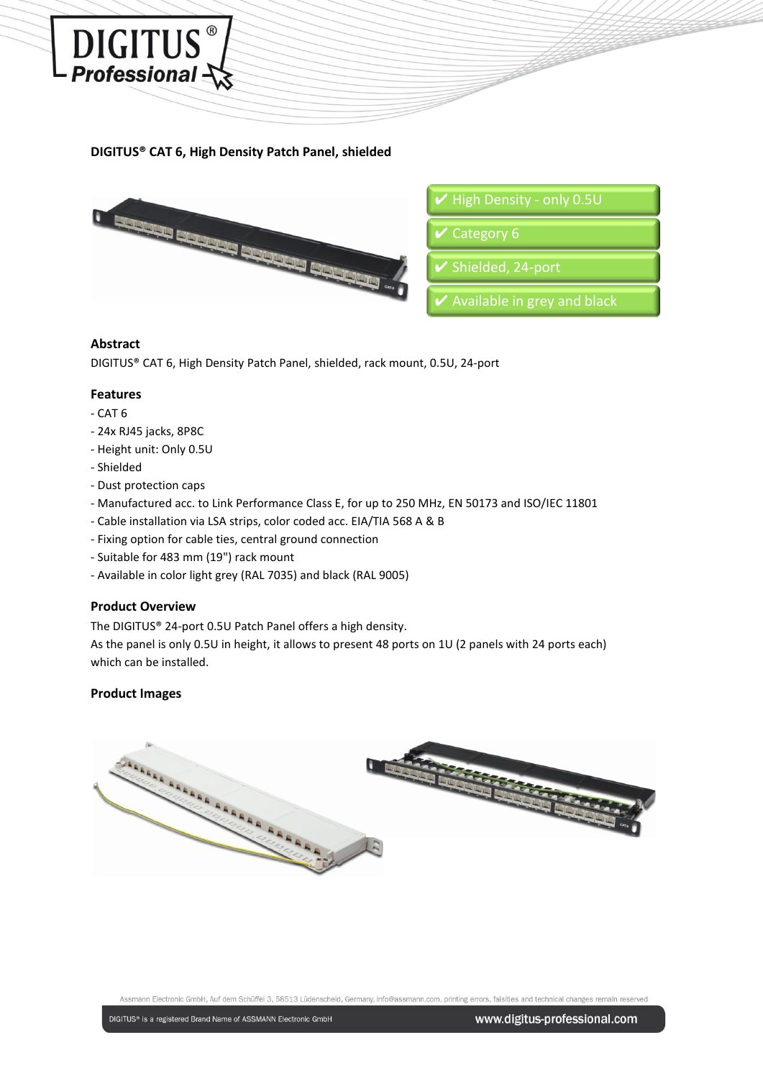

# **DIGITUS® CAT 6, High Density Patch Panel, shielded**



#### **Abstract**

DIGITUS® CAT 6, High Density Patch Panel, shielded, rack mount, 0.5U, 24-port

### **Features**

- CAT 6
- 24x RJ45 jacks, 8P8C
- Height unit: Only 0.5U
- Shielded
- Dust protection caps
- Manufactured acc. to Link Performance Class E, for up to 250 MHz, EN 50173 and ISO/IEC 11801
- Cable installation via LSA strips, color coded acc. EIA/TIA 568 A & B
- Fixing option for cable ties, central ground connection
- Suitable for 483 mm (19") rack mount
- Available in color light grey (RAL 7035) and black (RAL 9005)

## **Product Overview**

The DIGITUS® 24-port 0.5U Patch Panel offers a high density.

As the panel is only 0.5U in height, it allows to present 48 ports on 1U (2 panels with 24 ports each) which can be installed.

#### **Product Images**



Assmann Electronic GmbH, Auf dem Schüffel 3, 58513 Lüdenscheid, Germany, info@assmann.com, printing errors, falsities and technical changes remain reserved